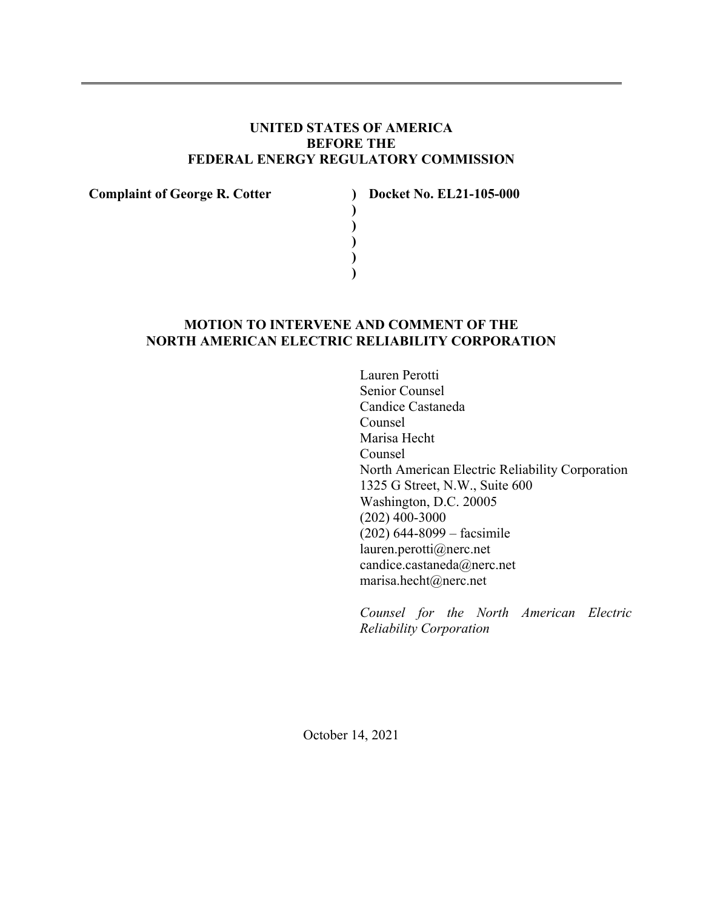# **UNITED STATES OF AMERICA BEFORE THE FEDERAL ENERGY REGULATORY COMMISSION**

**) ) ) ) )** 

**Complaint of George R. Cotter )** 

**Docket No. EL21-105-000** 

# **MOTION TO INTERVENE AND COMMENT OF THE NORTH AMERICAN ELECTRIC RELIABILITY CORPORATION**

Lauren Perotti Senior Counsel Candice Castaneda Counsel Marisa Hecht Counsel North American Electric Reliability Corporation 1325 G Street, N.W., Suite 600 Washington, D.C. 20005 (202) 400-3000 (202) 644-8099 – facsimile lauren.perotti@nerc.net candice.castaneda@nerc.net marisa.hecht@nerc.net

*Counsel for the North American Electric Reliability Corporation* 

October 14, 2021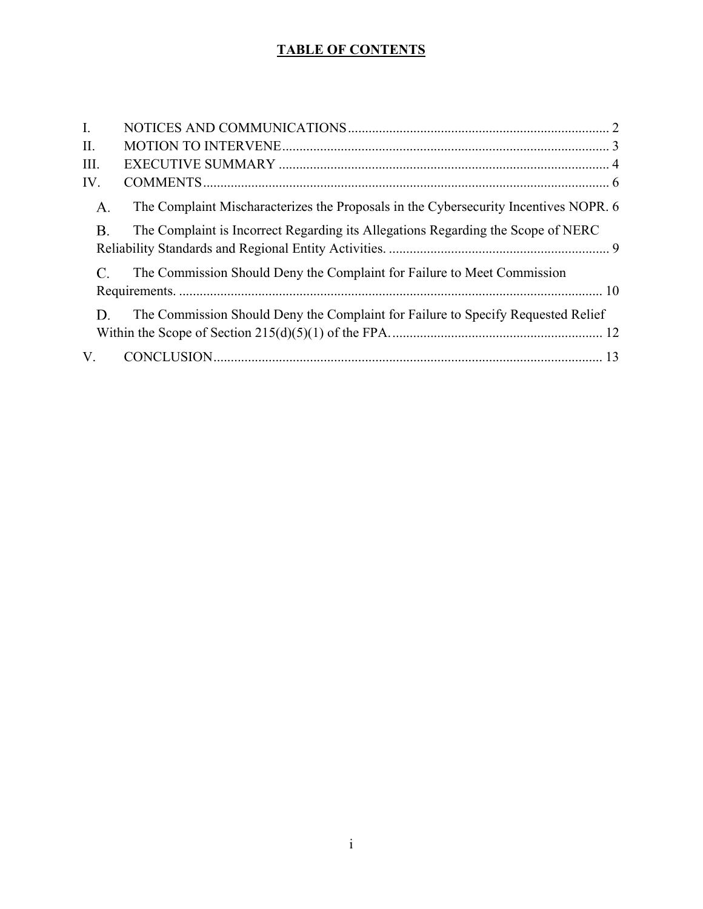# **TABLE OF CONTENTS**

| $\mathbf{I}$ . |                                                                                      |  |
|----------------|--------------------------------------------------------------------------------------|--|
| II.            |                                                                                      |  |
| III.           |                                                                                      |  |
| IV.            |                                                                                      |  |
| A.             | The Complaint Mischaracterizes the Proposals in the Cybersecurity Incentives NOPR. 6 |  |
| <b>B.</b>      | The Complaint is Incorrect Regarding its Allegations Regarding the Scope of NERC     |  |
|                | The Commission Should Deny the Complaint for Failure to Meet Commission              |  |
|                |                                                                                      |  |
| D.             | The Commission Should Deny the Complaint for Failure to Specify Requested Relief     |  |
| V.             |                                                                                      |  |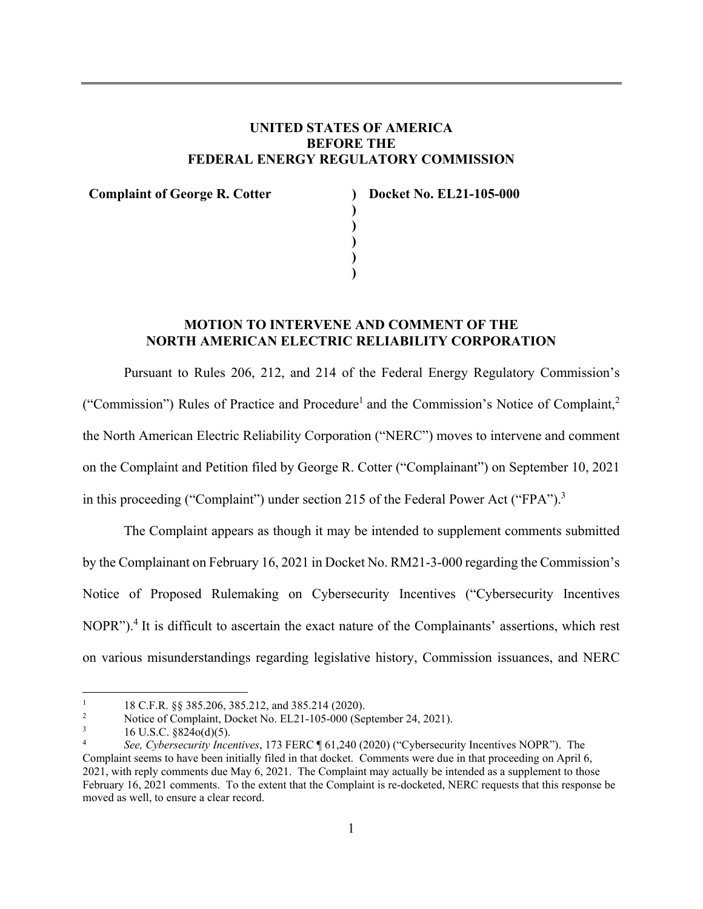# **UNITED STATES OF AMERICA BEFORE THE FEDERAL ENERGY REGULATORY COMMISSION**

**) ) ) ) )** 

**Complaint of George R. Cotter )** 

**Docket No. EL21-105-000** 

# **MOTION TO INTERVENE AND COMMENT OF THE NORTH AMERICAN ELECTRIC RELIABILITY CORPORATION**

Pursuant to Rules 206, 212, and 214 of the Federal Energy Regulatory Commission's

("Commission") Rules of Practice and Procedure<sup>1</sup> and the Commission's Notice of Complaint,<sup>2</sup>

the North American Electric Reliability Corporation ("NERC") moves to intervene and comment

on the Complaint and Petition filed by George R. Cotter ("Complainant") on September 10, 2021

in this proceeding ("Complaint") under section 215 of the Federal Power Act ("FPA").<sup>3</sup>

The Complaint appears as though it may be intended to supplement comments submitted by the Complainant on February 16, 2021 in Docket No. RM21-3-000 regarding the Commission's Notice of Proposed Rulemaking on Cybersecurity Incentives ("Cybersecurity Incentives NOPR").<sup>4</sup> It is difficult to ascertain the exact nature of the Complainants' assertions, which rest on various misunderstandings regarding legislative history, Commission issuances, and NERC

<sup>1</sup> 18 C.F.R. §§ 385.206, 385.212, and 385.214 (2020).

<sup>2</sup> Notice of Complaint, Docket No. EL21-105-000 (September 24, 2021).

<sup>3</sup> 16 U.S.C. §824o(d)(5).

<sup>4</sup> *See, Cybersecurity Incentives*, 173 FERC ¶ 61,240 (2020) ("Cybersecurity Incentives NOPR"). The Complaint seems to have been initially filed in that docket. Comments were due in that proceeding on April 6, 2021, with reply comments due May 6, 2021. The Complaint may actually be intended as a supplement to those February 16, 2021 comments. To the extent that the Complaint is re-docketed, NERC requests that this response be moved as well, to ensure a clear record.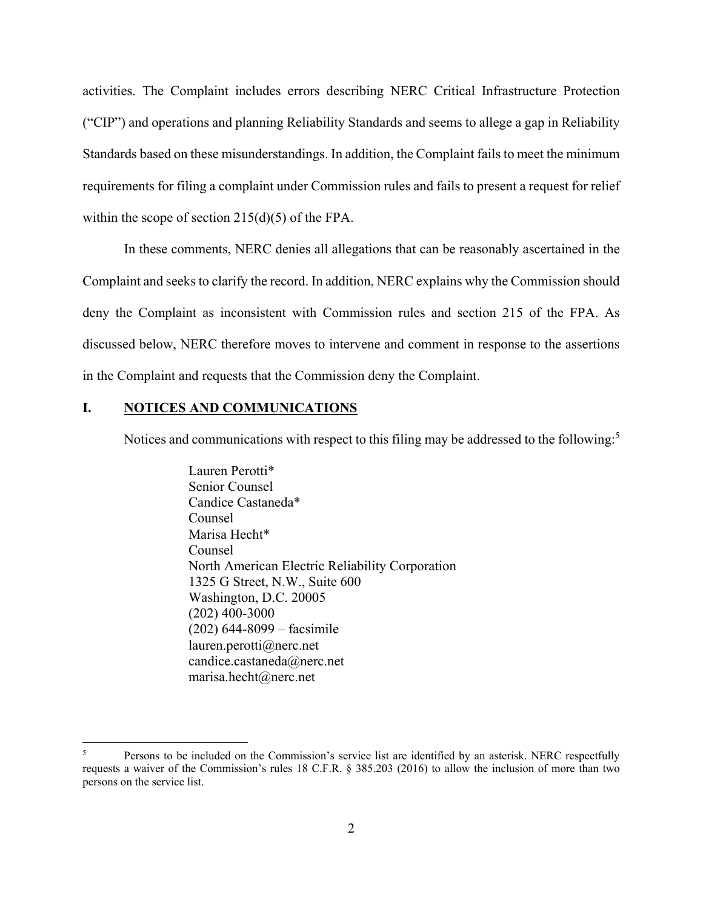activities. The Complaint includes errors describing NERC Critical Infrastructure Protection ("CIP") and operations and planning Reliability Standards and seems to allege a gap in Reliability Standards based on these misunderstandings. In addition, the Complaint fails to meet the minimum requirements for filing a complaint under Commission rules and fails to present a request for relief within the scope of section 215(d)(5) of the FPA.

In these comments, NERC denies all allegations that can be reasonably ascertained in the Complaint and seeks to clarify the record. In addition, NERC explains why the Commission should deny the Complaint as inconsistent with Commission rules and section 215 of the FPA. As discussed below, NERC therefore moves to intervene and comment in response to the assertions in the Complaint and requests that the Commission deny the Complaint.

### **I. NOTICES AND COMMUNICATIONS**

<u>.</u>

Notices and communications with respect to this filing may be addressed to the following:<sup>5</sup>

 Lauren Perotti\* Senior Counsel Candice Castaneda\* Counsel Marisa Hecht\* Counsel North American Electric Reliability Corporation 1325 G Street, N.W., Suite 600 Washington, D.C. 20005 (202) 400-3000 (202) 644-8099 – facsimile lauren.perotti@nerc.net candice.castaneda@nerc.net marisa.hecht@nerc.net

<sup>5</sup> Persons to be included on the Commission's service list are identified by an asterisk. NERC respectfully requests a waiver of the Commission's rules 18 C.F.R. § 385.203 (2016) to allow the inclusion of more than two persons on the service list.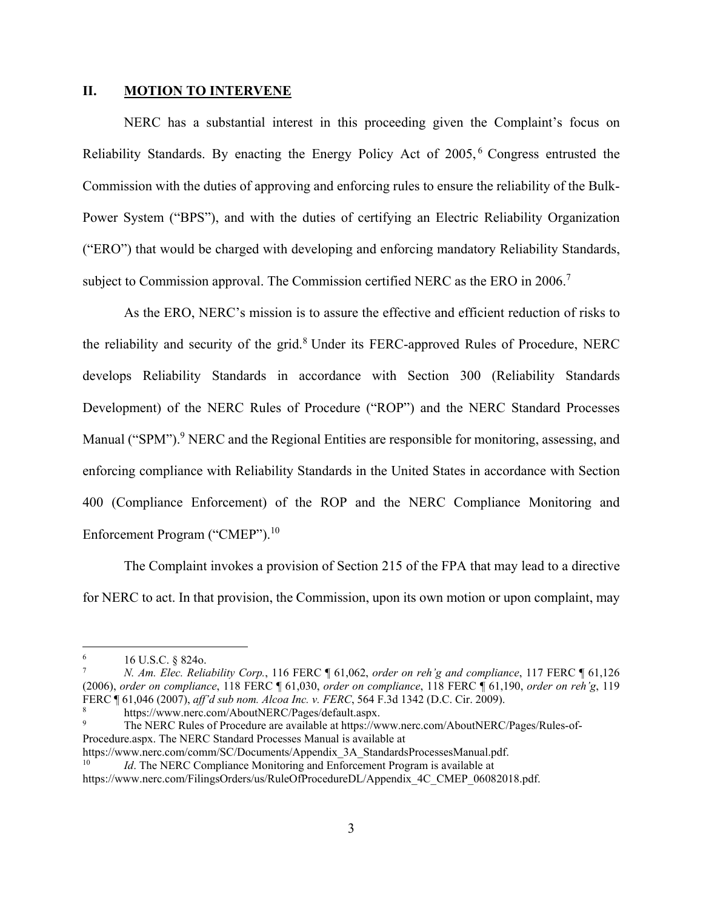### **II. MOTION TO INTERVENE**

NERC has a substantial interest in this proceeding given the Complaint's focus on Reliability Standards. By enacting the Energy Policy Act of 2005, 6 Congress entrusted the Commission with the duties of approving and enforcing rules to ensure the reliability of the Bulk-Power System ("BPS"), and with the duties of certifying an Electric Reliability Organization ("ERO") that would be charged with developing and enforcing mandatory Reliability Standards, subject to Commission approval. The Commission certified NERC as the ERO in 2006.<sup>7</sup>

As the ERO, NERC's mission is to assure the effective and efficient reduction of risks to the reliability and security of the grid.<sup>8</sup> Under its FERC-approved Rules of Procedure, NERC develops Reliability Standards in accordance with Section 300 (Reliability Standards Development) of the NERC Rules of Procedure ("ROP") and the NERC Standard Processes Manual ("SPM").<sup>9</sup> NERC and the Regional Entities are responsible for monitoring, assessing, and enforcing compliance with Reliability Standards in the United States in accordance with Section 400 (Compliance Enforcement) of the ROP and the NERC Compliance Monitoring and Enforcement Program ("CMEP").<sup>10</sup>

The Complaint invokes a provision of Section 215 of the FPA that may lead to a directive for NERC to act. In that provision, the Commission, upon its own motion or upon complaint, may

<sup>6</sup> 16 U.S.C. § 824o.

<sup>7</sup> *N. Am. Elec. Reliability Corp.*, 116 FERC ¶ 61,062, *order on reh'g and compliance*, 117 FERC ¶ 61,126 (2006), *order on compliance*, 118 FERC ¶ 61,030, *order on compliance*, 118 FERC ¶ 61,190, *order on reh'g*, 119 FERC ¶ 61,046 (2007), *aff'd sub nom. Alcoa Inc. v. FERC*, 564 F.3d 1342 (D.C. Cir. 2009). 8

https://www.nerc.com/AboutNERC/Pages/default.aspx. 9

The NERC Rules of Procedure are available at https://www.nerc.com/AboutNERC/Pages/Rules-of-Procedure.aspx. The NERC Standard Processes Manual is available at

https://www.nerc.com/comm/SC/Documents/Appendix\_3A\_StandardsProcessesManual.pdf. 10 *Id*. The NERC Compliance Monitoring and Enforcement Program is available at

https://www.nerc.com/FilingsOrders/us/RuleOfProcedureDL/Appendix\_4C\_CMEP\_06082018.pdf.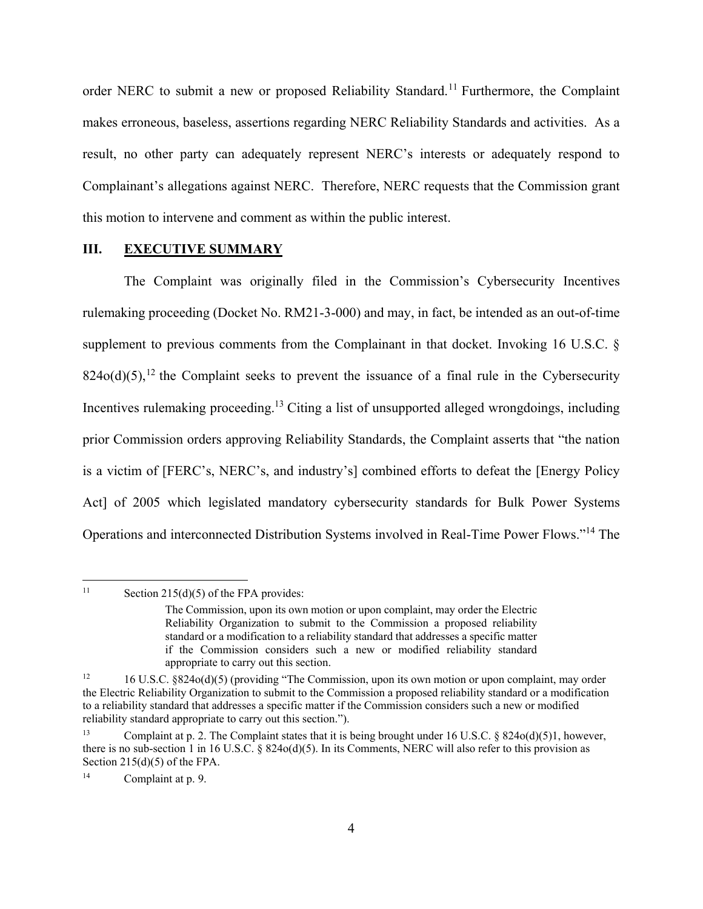order NERC to submit a new or proposed Reliability Standard.<sup>11</sup> Furthermore, the Complaint makes erroneous, baseless, assertions regarding NERC Reliability Standards and activities. As a result, no other party can adequately represent NERC's interests or adequately respond to Complainant's allegations against NERC. Therefore, NERC requests that the Commission grant this motion to intervene and comment as within the public interest.

### **III. EXECUTIVE SUMMARY**

The Complaint was originally filed in the Commission's Cybersecurity Incentives rulemaking proceeding (Docket No. RM21-3-000) and may, in fact, be intended as an out-of-time supplement to previous comments from the Complainant in that docket. Invoking 16 U.S.C. §  $824o(d)(5)$ ,<sup>12</sup> the Complaint seeks to prevent the issuance of a final rule in the Cybersecurity Incentives rulemaking proceeding.13 Citing a list of unsupported alleged wrongdoings, including prior Commission orders approving Reliability Standards, the Complaint asserts that "the nation is a victim of [FERC's, NERC's, and industry's] combined efforts to defeat the [Energy Policy Act] of 2005 which legislated mandatory cybersecurity standards for Bulk Power Systems Operations and interconnected Distribution Systems involved in Real-Time Power Flows."<sup>14</sup> The

<sup>&</sup>lt;sup>11</sup> Section 215(d)(5) of the FPA provides:

The Commission, upon its own motion or upon complaint, may order the Electric Reliability Organization to submit to the Commission a proposed reliability standard or a modification to a reliability standard that addresses a specific matter if the Commission considers such a new or modified reliability standard appropriate to carry out this section.

<sup>12 16</sup> U.S.C. §824o(d)(5) (providing "The Commission, upon its own motion or upon complaint, may order the Electric Reliability Organization to submit to the Commission a proposed reliability standard or a modification to a reliability standard that addresses a specific matter if the Commission considers such a new or modified reliability standard appropriate to carry out this section.").

<sup>13</sup> Complaint at p. 2. The Complaint states that it is being brought under 16 U.S.C. § 824o(d)(5)1, however, there is no sub-section 1 in 16 U.S.C. § 824o(d)(5). In its Comments, NERC will also refer to this provision as Section 215(d)(5) of the FPA.

<sup>14</sup> Complaint at p. 9.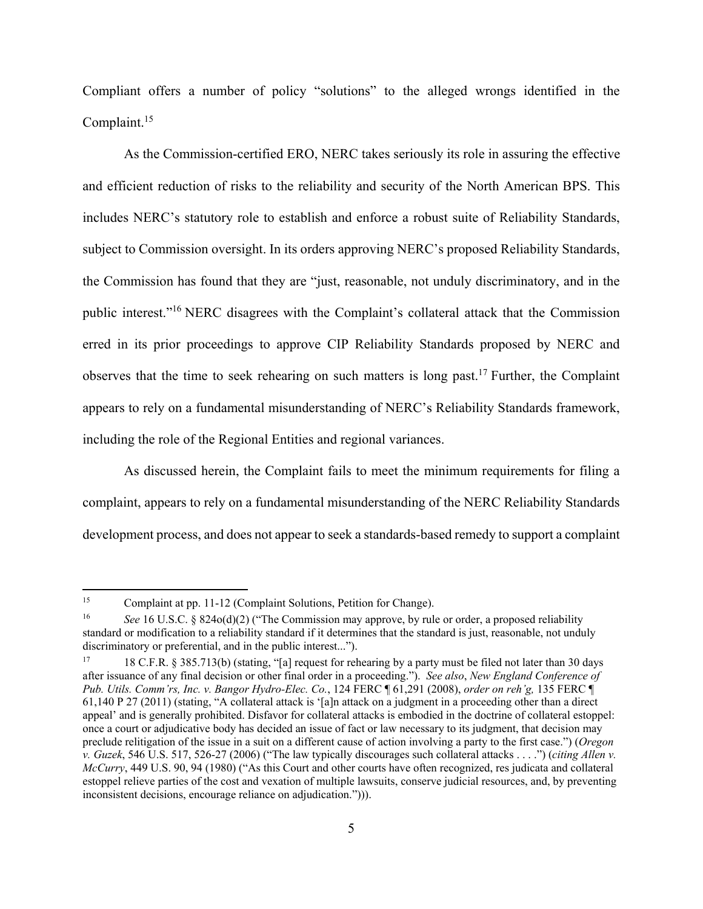Compliant offers a number of policy "solutions" to the alleged wrongs identified in the Complaint.15

As the Commission-certified ERO, NERC takes seriously its role in assuring the effective and efficient reduction of risks to the reliability and security of the North American BPS. This includes NERC's statutory role to establish and enforce a robust suite of Reliability Standards, subject to Commission oversight. In its orders approving NERC's proposed Reliability Standards, the Commission has found that they are "just, reasonable, not unduly discriminatory, and in the public interest."16 NERC disagrees with the Complaint's collateral attack that the Commission erred in its prior proceedings to approve CIP Reliability Standards proposed by NERC and observes that the time to seek rehearing on such matters is long past.17 Further, the Complaint appears to rely on a fundamental misunderstanding of NERC's Reliability Standards framework, including the role of the Regional Entities and regional variances.

As discussed herein, the Complaint fails to meet the minimum requirements for filing a complaint, appears to rely on a fundamental misunderstanding of the NERC Reliability Standards development process, and does not appear to seek a standards-based remedy to support a complaint

<sup>15</sup> Complaint at pp. 11-12 (Complaint Solutions, Petition for Change).

<sup>16</sup> *See* 16 U.S.C. § 824o(d)(2) ("The Commission may approve, by rule or order, a proposed reliability standard or modification to a reliability standard if it determines that the standard is just, reasonable, not unduly discriminatory or preferential, and in the public interest...").

<sup>17 18</sup> C.F.R. § 385.713(b) (stating, "[a] request for rehearing by a party must be filed not later than 30 days after issuance of any final decision or other final order in a proceeding."). *See also*, *New England Conference of Pub. Utils. Comm'rs, Inc. v. Bangor Hydro-Elec. Co.*, 124 FERC ¶ 61,291 (2008), *order on reh'g,* 135 FERC ¶ 61,140 P 27 (2011) (stating, "A collateral attack is '[a]n attack on a judgment in a proceeding other than a direct appeal' and is generally prohibited. Disfavor for collateral attacks is embodied in the doctrine of collateral estoppel: once a court or adjudicative body has decided an issue of fact or law necessary to its judgment, that decision may preclude relitigation of the issue in a suit on a different cause of action involving a party to the first case.") (*Oregon v. Guzek*, 546 U.S. 517, 526-27 (2006) ("The law typically discourages such collateral attacks . . . .") (*citing Allen v. McCurry*, 449 U.S. 90, 94 (1980) ("As this Court and other courts have often recognized, res judicata and collateral estoppel relieve parties of the cost and vexation of multiple lawsuits, conserve judicial resources, and, by preventing inconsistent decisions, encourage reliance on adjudication."))).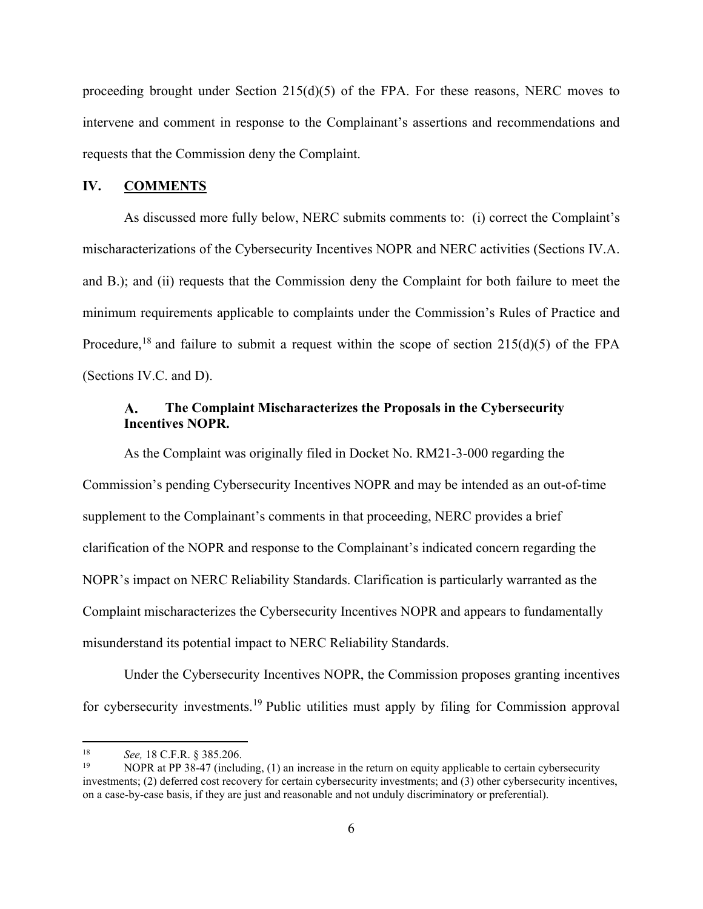proceeding brought under Section 215(d)(5) of the FPA. For these reasons, NERC moves to intervene and comment in response to the Complainant's assertions and recommendations and requests that the Commission deny the Complaint.

### **IV. COMMENTS**

As discussed more fully below, NERC submits comments to: (i) correct the Complaint's mischaracterizations of the Cybersecurity Incentives NOPR and NERC activities (Sections IV.A. and B.); and (ii) requests that the Commission deny the Complaint for both failure to meet the minimum requirements applicable to complaints under the Commission's Rules of Practice and Procedure,<sup>18</sup> and failure to submit a request within the scope of section  $215(d)(5)$  of the FPA (Sections IV.C. and D).

#### A. **The Complaint Mischaracterizes the Proposals in the Cybersecurity Incentives NOPR.**

As the Complaint was originally filed in Docket No. RM21-3-000 regarding the Commission's pending Cybersecurity Incentives NOPR and may be intended as an out-of-time supplement to the Complainant's comments in that proceeding, NERC provides a brief clarification of the NOPR and response to the Complainant's indicated concern regarding the NOPR's impact on NERC Reliability Standards. Clarification is particularly warranted as the Complaint mischaracterizes the Cybersecurity Incentives NOPR and appears to fundamentally misunderstand its potential impact to NERC Reliability Standards.

Under the Cybersecurity Incentives NOPR, the Commission proposes granting incentives for cybersecurity investments.19 Public utilities must apply by filing for Commission approval

<u>.</u>

<sup>18&</sup>lt;br><sup>18</sup> See, 18 C.F.R. § 385.206.<br><sup>19</sup> NOPR at PP 38-47 (including, (1) an increase in the return on equity applicable to certain cybersecurity investments; (2) deferred cost recovery for certain cybersecurity investments; and (3) other cybersecurity incentives, on a case-by-case basis, if they are just and reasonable and not unduly discriminatory or preferential).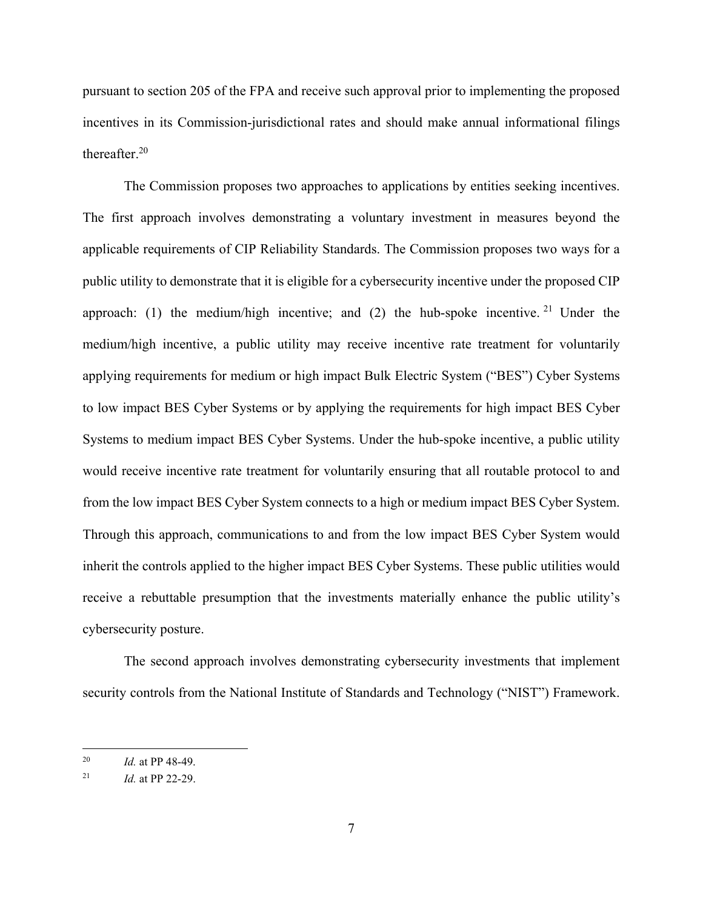pursuant to section 205 of the FPA and receive such approval prior to implementing the proposed incentives in its Commission-jurisdictional rates and should make annual informational filings thereafter.20

The Commission proposes two approaches to applications by entities seeking incentives. The first approach involves demonstrating a voluntary investment in measures beyond the applicable requirements of CIP Reliability Standards. The Commission proposes two ways for a public utility to demonstrate that it is eligible for a cybersecurity incentive under the proposed CIP approach: (1) the medium/high incentive; and (2) the hub-spoke incentive. <sup>21</sup> Under the medium/high incentive, a public utility may receive incentive rate treatment for voluntarily applying requirements for medium or high impact Bulk Electric System ("BES") Cyber Systems to low impact BES Cyber Systems or by applying the requirements for high impact BES Cyber Systems to medium impact BES Cyber Systems. Under the hub-spoke incentive, a public utility would receive incentive rate treatment for voluntarily ensuring that all routable protocol to and from the low impact BES Cyber System connects to a high or medium impact BES Cyber System. Through this approach, communications to and from the low impact BES Cyber System would inherit the controls applied to the higher impact BES Cyber Systems. These public utilities would receive a rebuttable presumption that the investments materially enhance the public utility's cybersecurity posture.

The second approach involves demonstrating cybersecurity investments that implement security controls from the National Institute of Standards and Technology ("NIST") Framework.

<sup>20</sup> *Id.* at PP 48-49.

<sup>21</sup> *Id.* at PP 22-29.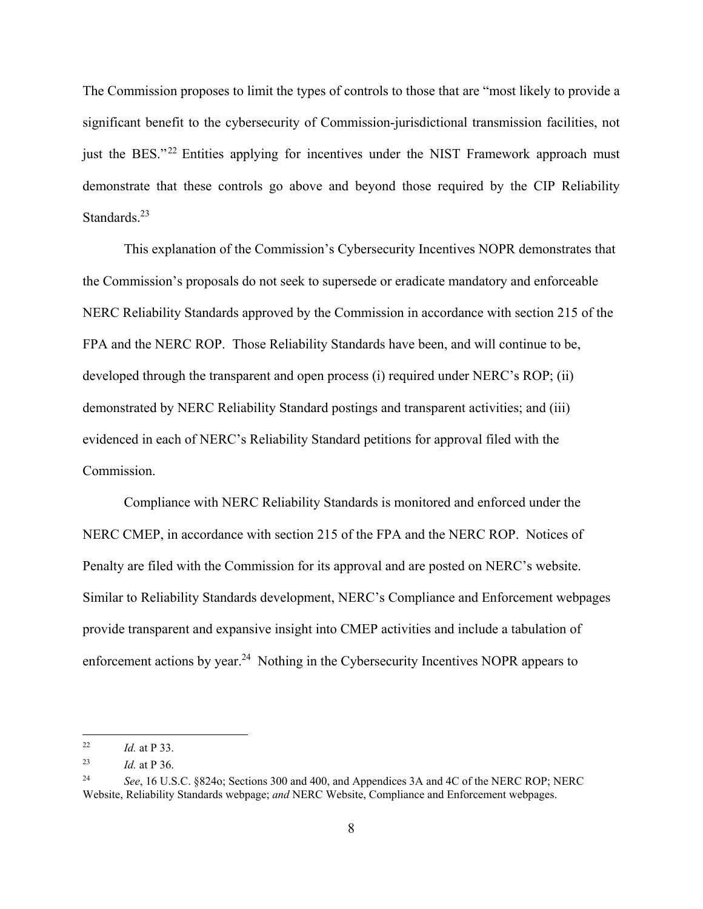The Commission proposes to limit the types of controls to those that are "most likely to provide a significant benefit to the cybersecurity of Commission-jurisdictional transmission facilities, not just the BES."<sup>22</sup> Entities applying for incentives under the NIST Framework approach must demonstrate that these controls go above and beyond those required by the CIP Reliability Standards.<sup>23</sup>

This explanation of the Commission's Cybersecurity Incentives NOPR demonstrates that the Commission's proposals do not seek to supersede or eradicate mandatory and enforceable NERC Reliability Standards approved by the Commission in accordance with section 215 of the FPA and the NERC ROP. Those Reliability Standards have been, and will continue to be, developed through the transparent and open process (i) required under NERC's ROP; (ii) demonstrated by NERC Reliability Standard postings and transparent activities; and (iii) evidenced in each of NERC's Reliability Standard petitions for approval filed with the Commission.

Compliance with NERC Reliability Standards is monitored and enforced under the NERC CMEP, in accordance with section 215 of the FPA and the NERC ROP. Notices of Penalty are filed with the Commission for its approval and are posted on NERC's website. Similar to Reliability Standards development, NERC's Compliance and Enforcement webpages provide transparent and expansive insight into CMEP activities and include a tabulation of enforcement actions by year.<sup>24</sup> Nothing in the Cybersecurity Incentives NOPR appears to

<sup>22</sup> *Id.* at P 33.

<sup>23</sup> *Id.* at P 36.

<sup>24</sup> *See*, 16 U.S.C. §824o; Sections 300 and 400, and Appendices 3A and 4C of the NERC ROP; NERC Website, Reliability Standards webpage; *and* NERC Website, Compliance and Enforcement webpages.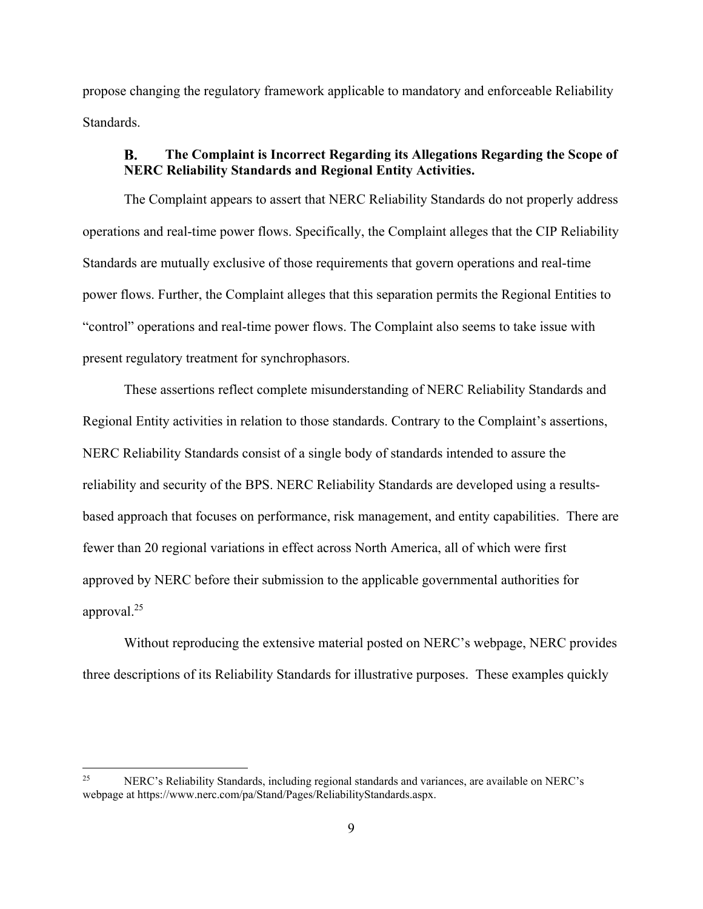propose changing the regulatory framework applicable to mandatory and enforceable Reliability Standards.

#### $\bf{B}$ . **The Complaint is Incorrect Regarding its Allegations Regarding the Scope of NERC Reliability Standards and Regional Entity Activities.**

The Complaint appears to assert that NERC Reliability Standards do not properly address operations and real-time power flows. Specifically, the Complaint alleges that the CIP Reliability Standards are mutually exclusive of those requirements that govern operations and real-time power flows. Further, the Complaint alleges that this separation permits the Regional Entities to "control" operations and real-time power flows. The Complaint also seems to take issue with present regulatory treatment for synchrophasors.

These assertions reflect complete misunderstanding of NERC Reliability Standards and Regional Entity activities in relation to those standards. Contrary to the Complaint's assertions, NERC Reliability Standards consist of a single body of standards intended to assure the reliability and security of the BPS. NERC Reliability Standards are developed using a resultsbased approach that focuses on performance, risk management, and entity capabilities. There are fewer than 20 regional variations in effect across North America, all of which were first approved by NERC before their submission to the applicable governmental authorities for approval.25

Without reproducing the extensive material posted on NERC's webpage, NERC provides three descriptions of its Reliability Standards for illustrative purposes. These examples quickly

<sup>25</sup> NERC's Reliability Standards, including regional standards and variances, are available on NERC's webpage at https://www.nerc.com/pa/Stand/Pages/ReliabilityStandards.aspx.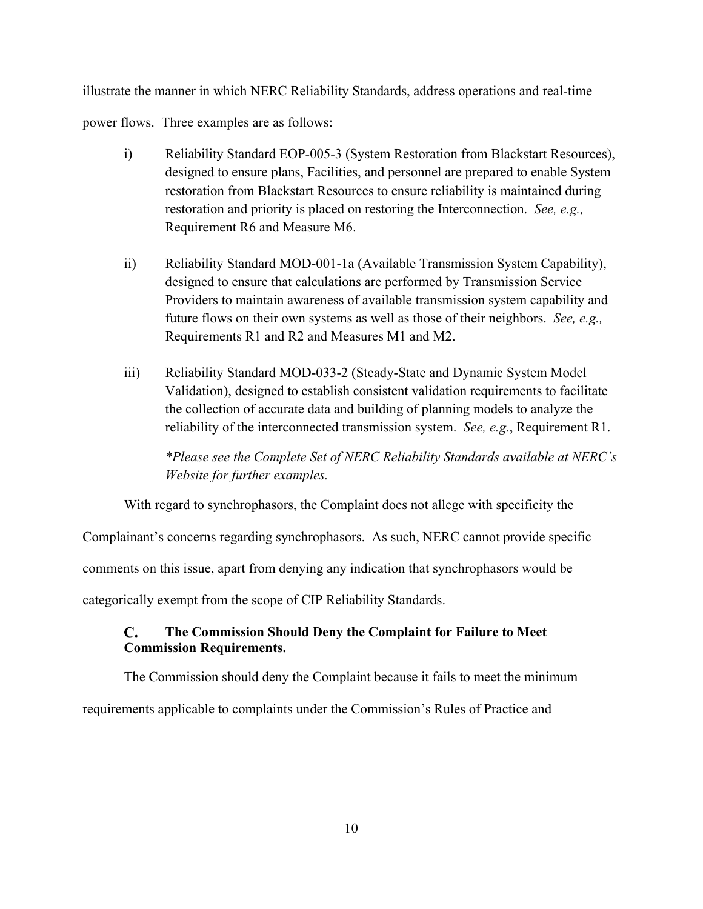illustrate the manner in which NERC Reliability Standards, address operations and real-time power flows. Three examples are as follows:

- i) Reliability Standard EOP-005-3 (System Restoration from Blackstart Resources), designed to ensure plans, Facilities, and personnel are prepared to enable System restoration from Blackstart Resources to ensure reliability is maintained during restoration and priority is placed on restoring the Interconnection. *See, e.g.,*  Requirement R6 and Measure M6.
- ii) Reliability Standard MOD-001-1a (Available Transmission System Capability), designed to ensure that calculations are performed by Transmission Service Providers to maintain awareness of available transmission system capability and future flows on their own systems as well as those of their neighbors. *See, e.g.,*  Requirements R1 and R2 and Measures M1 and M2.
- iii) Reliability Standard MOD-033-2 (Steady-State and Dynamic System Model Validation), designed to establish consistent validation requirements to facilitate the collection of accurate data and building of planning models to analyze the reliability of the interconnected transmission system. *See, e.g.*, Requirement R1.

*\*Please see the Complete Set of NERC Reliability Standards available at NERC's Website for further examples.* 

With regard to synchrophasors, the Complaint does not allege with specificity the

Complainant's concerns regarding synchrophasors. As such, NERC cannot provide specific

comments on this issue, apart from denying any indication that synchrophasors would be

categorically exempt from the scope of CIP Reliability Standards.

#### $\mathbf{C}$ . **The Commission Should Deny the Complaint for Failure to Meet Commission Requirements.**

The Commission should deny the Complaint because it fails to meet the minimum requirements applicable to complaints under the Commission's Rules of Practice and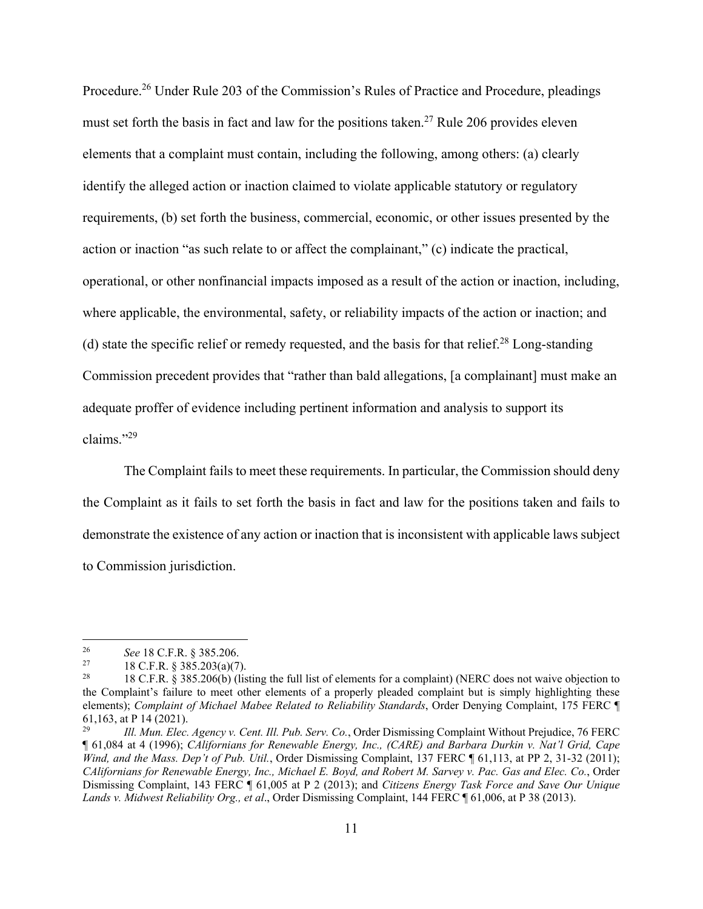Procedure.<sup>26</sup> Under Rule 203 of the Commission's Rules of Practice and Procedure, pleadings must set forth the basis in fact and law for the positions taken.<sup>27</sup> Rule 206 provides eleven elements that a complaint must contain, including the following, among others: (a) clearly identify the alleged action or inaction claimed to violate applicable statutory or regulatory requirements, (b) set forth the business, commercial, economic, or other issues presented by the action or inaction "as such relate to or affect the complainant," (c) indicate the practical, operational, or other nonfinancial impacts imposed as a result of the action or inaction, including, where applicable, the environmental, safety, or reliability impacts of the action or inaction; and (d) state the specific relief or remedy requested, and the basis for that relief.<sup>28</sup> Long-standing Commission precedent provides that "rather than bald allegations, [a complainant] must make an adequate proffer of evidence including pertinent information and analysis to support its claims."29

The Complaint fails to meet these requirements. In particular, the Commission should deny the Complaint as it fails to set forth the basis in fact and law for the positions taken and fails to demonstrate the existence of any action or inaction that is inconsistent with applicable laws subject to Commission jurisdiction.

<sup>26</sup> See 18 C.F.R. § 385.206.<br><sup>27</sup> 18 C.F.R. § 385.203(a)(7).<br>28 18 C.F.R. § 385.206(b) (lis

<sup>28 18</sup> C.F.R. § 385.206(b) (listing the full list of elements for a complaint) (NERC does not waive objection to the Complaint's failure to meet other elements of a properly pleaded complaint but is simply highlighting these elements); *Complaint of Michael Mabee Related to Reliability Standards*, Order Denying Complaint, 175 FERC ¶ 61,163, at P 14 (2021).

<sup>29</sup> *Ill. Mun. Elec. Agency v. Cent. Ill. Pub. Serv. Co.*, Order Dismissing Complaint Without Prejudice, 76 FERC ¶ 61,084 at 4 (1996); *CAlifornians for Renewable Energy, Inc., (CARE) and Barbara Durkin v. Nat'l Grid, Cape Wind, and the Mass. Dep't of Pub. Util.*, Order Dismissing Complaint, 137 FERC ¶ 61,113, at PP 2, 31-32 (2011); *CAlifornians for Renewable Energy, Inc., Michael E. Boyd, and Robert M. Sarvey v. Pac. Gas and Elec. Co.*, Order Dismissing Complaint, 143 FERC ¶ 61,005 at P 2 (2013); and *Citizens Energy Task Force and Save Our Unique Lands v. Midwest Reliability Org., et al*., Order Dismissing Complaint, 144 FERC ¶ 61,006, at P 38 (2013).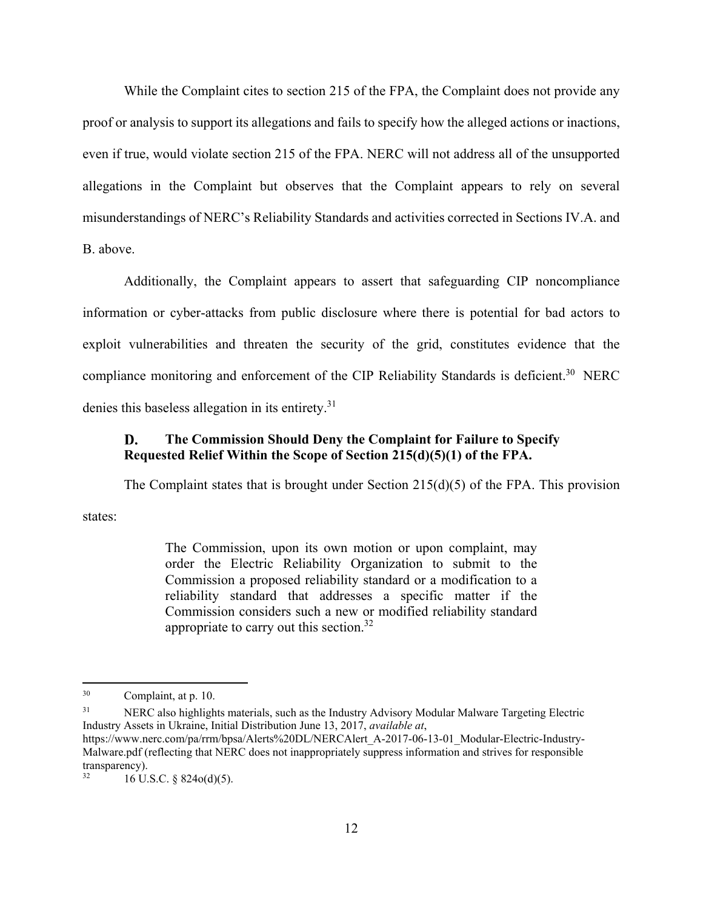While the Complaint cites to section 215 of the FPA, the Complaint does not provide any proof or analysis to support its allegations and fails to specify how the alleged actions or inactions, even if true, would violate section 215 of the FPA. NERC will not address all of the unsupported allegations in the Complaint but observes that the Complaint appears to rely on several misunderstandings of NERC's Reliability Standards and activities corrected in Sections IV.A. and B. above.

Additionally, the Complaint appears to assert that safeguarding CIP noncompliance information or cyber-attacks from public disclosure where there is potential for bad actors to exploit vulnerabilities and threaten the security of the grid, constitutes evidence that the compliance monitoring and enforcement of the CIP Reliability Standards is deficient.<sup>30</sup> NERC denies this baseless allegation in its entirety.<sup>31</sup>

#### D. **The Commission Should Deny the Complaint for Failure to Specify Requested Relief Within the Scope of Section 215(d)(5)(1) of the FPA.**

The Complaint states that is brought under Section  $215(d)(5)$  of the FPA. This provision

states:

1

The Commission, upon its own motion or upon complaint, may order the Electric Reliability Organization to submit to the Commission a proposed reliability standard or a modification to a reliability standard that addresses a specific matter if the Commission considers such a new or modified reliability standard appropriate to carry out this section. $32$ 

<sup>30</sup> Complaint, at p. 10.

<sup>&</sup>lt;sup>31</sup> NERC also highlights materials, such as the Industry Advisory Modular Malware Targeting Electric Industry Assets in Ukraine, Initial Distribution June 13, 2017, *available at*,

https://www.nerc.com/pa/rrm/bpsa/Alerts%20DL/NERCAlert\_A-2017-06-13-01\_Modular-Electric-Industry-Malware.pdf (reflecting that NERC does not inappropriately suppress information and strives for responsible transparency).<br> $16 \text{ H}$ 

 $16$  U.S.C. § 824 $o(d)(5)$ .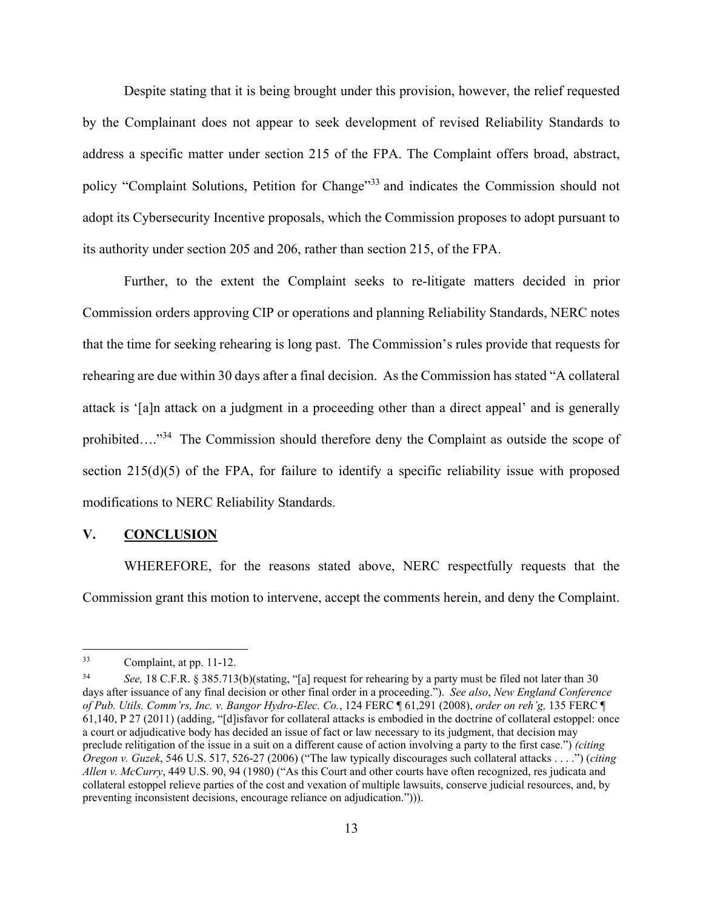Despite stating that it is being brought under this provision, however, the relief requested by the Complainant does not appear to seek development of revised Reliability Standards to address a specific matter under section 215 of the FPA. The Complaint offers broad, abstract, policy "Complaint Solutions, Petition for Change"33 and indicates the Commission should not adopt its Cybersecurity Incentive proposals, which the Commission proposes to adopt pursuant to its authority under section 205 and 206, rather than section 215, of the FPA.

Further, to the extent the Complaint seeks to re-litigate matters decided in prior Commission orders approving CIP or operations and planning Reliability Standards, NERC notes that the time for seeking rehearing is long past. The Commission's rules provide that requests for rehearing are due within 30 days after a final decision. As the Commission has stated "A collateral attack is '[a]n attack on a judgment in a proceeding other than a direct appeal' and is generally prohibited…."<sup>34</sup> The Commission should therefore deny the Complaint as outside the scope of section 215(d)(5) of the FPA, for failure to identify a specific reliability issue with proposed modifications to NERC Reliability Standards.

#### **V. CONCLUSION**

WHEREFORE, for the reasons stated above, NERC respectfully requests that the Commission grant this motion to intervene, accept the comments herein, and deny the Complaint.

<sup>33</sup> Complaint, at pp. 11-12.

<sup>34</sup> *See,* 18 C.F.R. § 385.713(b)(stating, "[a] request for rehearing by a party must be filed not later than 30 days after issuance of any final decision or other final order in a proceeding."). *See also*, *New England Conference of Pub. Utils. Comm'rs, Inc. v. Bangor Hydro-Elec. Co.*, 124 FERC ¶ 61,291 (2008), *order on reh'g,* 135 FERC ¶ 61,140, P 27 (2011) (adding, "[d]isfavor for collateral attacks is embodied in the doctrine of collateral estoppel: once a court or adjudicative body has decided an issue of fact or law necessary to its judgment, that decision may preclude relitigation of the issue in a suit on a different cause of action involving a party to the first case.") *(citing Oregon v. Guzek*, 546 U.S. 517, 526-27 (2006) ("The law typically discourages such collateral attacks . . . .") (*citing Allen v. McCurry*, 449 U.S. 90, 94 (1980) ("As this Court and other courts have often recognized, res judicata and collateral estoppel relieve parties of the cost and vexation of multiple lawsuits, conserve judicial resources, and, by preventing inconsistent decisions, encourage reliance on adjudication."))).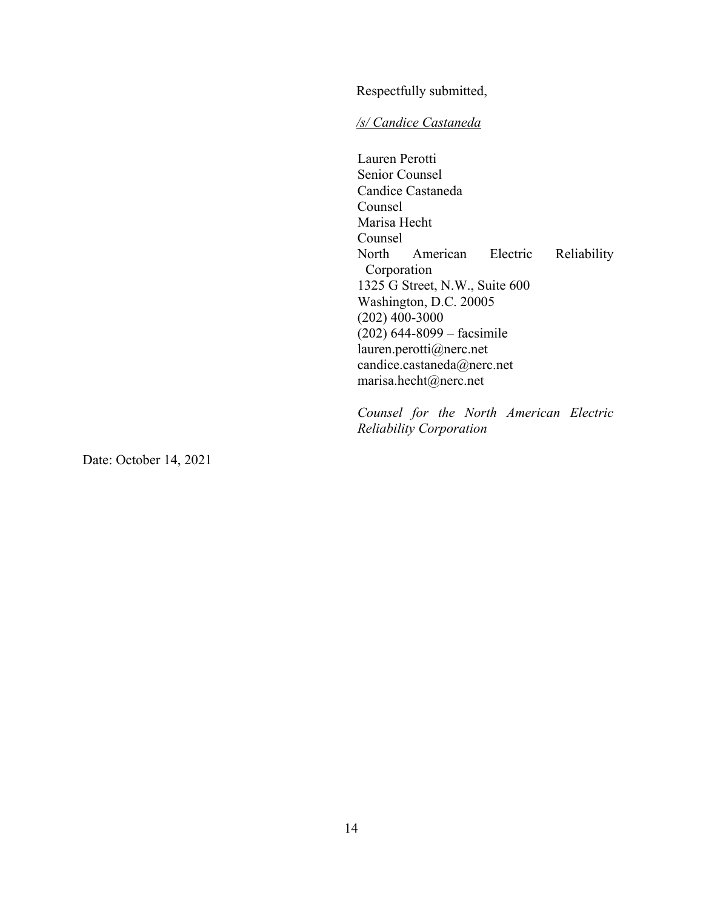Respectfully submitted,

*/s/ Candice Castaneda* 

Lauren Perotti Senior Counsel Candice Castaneda Counsel Marisa Hecht Counsel<br>North American Electric Reliability Corporation 1325 G Street, N.W., Suite 600 Washington, D.C. 20005 (202) 400-3000 (202) 644-8099 – facsimile lauren.perotti@nerc.net candice.castaneda@nerc.net marisa.hecht@nerc.net

*Counsel for the North American Electric Reliability Corporation* 

Date: October 14, 2021